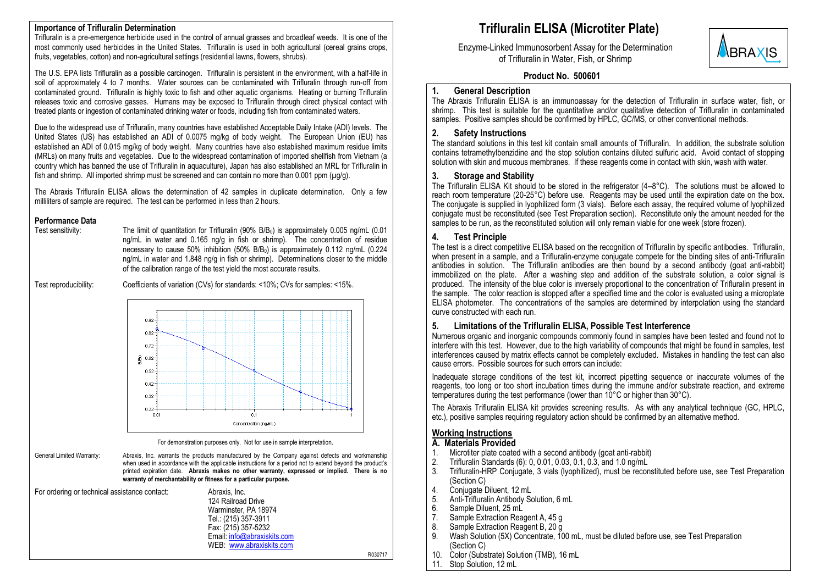## **Importance of Trifluralin Determination**

Trifluralin is a pre-emergence herbicide used in the control of annual grasses and broadleaf weeds. It is one of the most commonly used herbicides in the United States. Trifluralin is used in both agricultural (cereal grains crops, fruits, vegetables, cotton) and non-agricultural settings (residential lawns, flowers, shrubs).

The U.S. EPA lists Trifluralin as a possible carcinogen. Trifluralin is persistent in the environment, with a half-life in soil of approximately 4 to 7 months. Water sources can be contaminated with Trifluralin through run-off from contaminated ground. Trifluralin is highly toxic to fish and other aquatic organisms. Heating or burning Trifluralin releases toxic and corrosive gasses. Humans may be exposed to Trifluralin through direct physical contact with treated plants or ingestion of contaminated drinking water or foods, including fish from contaminated waters.

Due to the widespread use of Trifluralin, many countries have established Acceptable Daily Intake (ADI) levels. The United States (US) has established an ADI of 0.0075 mg/kg of body weight. The European Union (EU) has established an ADI of 0.015 mg/kg of body weight. Many countries have also established maximum residue limits (MRLs) on many fruits and vegetables. Due to the widespread contamination of imported shellfish from Vietnam (a country which has banned the use of Trifluralin in aquaculture), Japan has also established an MRL for Trifluralin in fish and shrimp. All imported shrimp must be screened and can contain no more than 0.001 ppm (ug/g).

The Abraxis Trifluralin ELISA allows the determination of 42 samples in duplicate determination. Only a few milliliters of sample are required. The test can be performed in less than 2 hours.

#### **Performance Data**

Test sensitivity: The limit of quantitation for Trifluralin (90% B/B<sub>0</sub>) is approximately 0.005 ng/mL (0.01 ng/mL in water and 0.165 ng/g in fish or shrimp). The concentration of residue necessary to cause 50% inhibition (50% B/B<sub>0</sub>) is approximately 0.112 ng/mL (0.224 ng/mL in water and 1.848 ng/g in fish or shrimp). Determinations closer to the middle of the calibration range of the test yield the most accurate results.

Test reproducibility: Coefficients of variation (CVs) for standards: <10%; CVs for samples: <15%.



For demonstration purposes only. Not for use in sample interpretation.

| General Limited Warranty:                     |  | Abraxis, Inc. warrants the products manufactured by the Company against defects and workmanship<br>when used in accordance with the applicable instructions for a period not to extend beyond the product's<br>printed expiration date. Abraxis makes no other warranty, expressed or implied. There is no<br>warranty of merchantability or fitness for a particular purpose. |
|-----------------------------------------------|--|--------------------------------------------------------------------------------------------------------------------------------------------------------------------------------------------------------------------------------------------------------------------------------------------------------------------------------------------------------------------------------|
| For ordering or technical assistance contact: |  | Abraxis, Inc.<br>124 Railroad Drive<br>Warminster, PA 18974                                                                                                                                                                                                                                                                                                                    |

Warminster, PA 18974 Tel.: (215) 357-3911 Fax: (215) 357-5232 Email: [info@abraxiskits.com](mailto:info@abraxiskits.com) WEB: [www.abraxiskits.com](http://www.abraxiskits.com/)

## **Trifluralin ELISA (Microtiter Plate)**

Enzyme-Linked Immunosorbent Assay for the Determination of Trifluralin in Water, Fish, or Shrimp



## **Product No. 500601**

#### **1. General Description**

The Abraxis Trifluralin ELISA is an immunoassay for the detection of Trifluralin in surface water, fish, or shrimp. This test is suitable for the quantitative and/or qualitative detection of Trifluralin in contaminated samples. Positive samples should be confirmed by HPLC, GC/MS, or other conventional methods.

## **2. Safety Instructions**

The standard solutions in this test kit contain small amounts of Trifluralin. In addition, the substrate solution contains tetramethylbenzidine and the stop solution contains diluted sulfuric acid. Avoid contact of stopping solution with skin and mucous membranes. If these reagents come in contact with skin, wash with water.

## **3. Storage and Stability**

The Trifluralin ELISA Kit should to be stored in the refrigerator  $(4-8^{\circ}C)$ . The solutions must be allowed to reach room temperature (20-25°C) before use. Reagents may be used until the expiration date on the box. The conjugate is supplied in lyophilized form (3 vials). Before each assay, the required volume of lyophilized conjugate must be reconstituted (see Test Preparation section). Reconstitute only the amount needed for the samples to be run, as the reconstituted solution will only remain viable for one week (store frozen).

## **4. Test Principle**

The test is a direct competitive ELISA based on the recognition of Trifluralin by specific antibodies. Trifluralin, when present in a sample, and a Trifluralin-enzyme conjugate compete for the binding sites of anti-Trifluralin antibodies in solution. The Trifluralin antibodies are then bound by a second antibody (goat anti-rabbit) immobilized on the plate. After a washing step and addition of the substrate solution, a color signal is produced. The intensity of the blue color is inversely proportional to the concentration of Trifluralin present in the sample. The color reaction is stopped after a specified time and the color is evaluated using a microplate ELISA photometer. The concentrations of the samples are determined by interpolation using the standard curve constructed with each run.

## **5. Limitations of the Trifluralin ELISA, Possible Test Interference**

Numerous organic and inorganic compounds commonly found in samples have been tested and found not to interfere with this test. However, due to the high variability of compounds that might be found in samples, test interferences caused by matrix effects cannot be completely excluded. Mistakes in handling the test can also cause errors. Possible sources for such errors can include:

Inadequate storage conditions of the test kit, incorrect pipetting sequence or inaccurate volumes of the reagents, too long or too short incubation times during the immune and/or substrate reaction, and extreme temperatures during the test performance (lower than 10°C or higher than 30°C).

The Abraxis Trifluralin ELISA kit provides screening results. As with any analytical technique (GC, HPLC, etc.), positive samples requiring regulatory action should be confirmed by an alternative method.

## **Working Instructions**

#### **A. Materials Provided**

- 1. Microtiter plate coated with a second antibody (goat anti-rabbit)<br>2. Trifluralin Standards (6): 0, 0.01, 0.03, 0.1, 0.3, and 1.0 ng/mL
- 2. Trifluralin Standards (6): 0, 0.01, 0.03, 0.1, 0.3, and 1.0 ng/mL
- 3. Trifluralin-HRP Conjugate, 3 vials (lyophilized), must be reconstituted before use, see Test Preparation (Section C)
- 4. Conjugate Diluent, 12 mL<br>5. Anti-Trifluralin Antibody So
- 5. Anti-Trifluralin Antibody Solution, 6 mL
- 6. Sample Diluent, 25 mL<br>7. Sample Extraction Read
- Sample Extraction Reagent A, 45 g
- 8. Sample Extraction Reagent B, 20 g<br>9. Wash Solution (5X) Concentrate, 10
- Wash Solution (5X) Concentrate, 100 mL, must be diluted before use, see Test Preparation (Section C)
- 10. Color (Substrate) Solution (TMB), 16 mL
- 11. Stop Solution, 12 mL

R030717